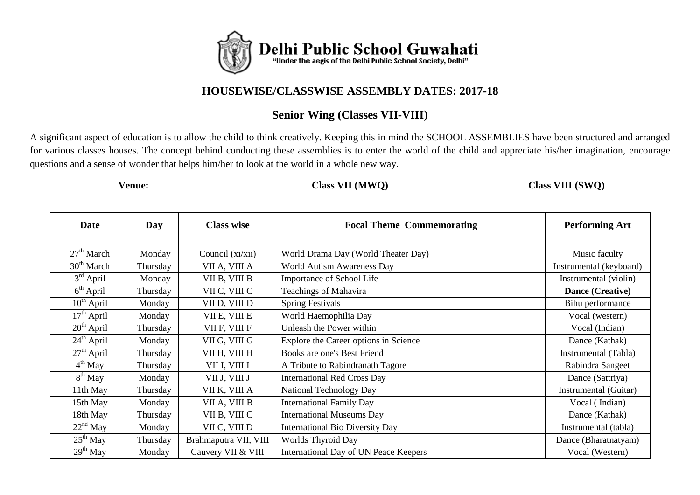

## **HOUSEWISE/CLASSWISE ASSEMBLY DATES: 2017-18**

# **Senior Wing (Classes VII-VIII)**

A significant aspect of education is to allow the child to think creatively. Keeping this in mind the SCHOOL ASSEMBLIES have been structured and arranged for various classes houses. The concept behind conducting these assemblies is to enter the world of the child and appreciate his/her imagination, encourage questions and a sense of wonder that helps him/her to look at the world in a whole new way.

#### **Venue: Class VII (MWQ) Class VIII (SWQ)**

| <b>Date</b>          | Day      | <b>Class wise</b>     | <b>Focal Theme Commemorating</b>       | <b>Performing Art</b>   |
|----------------------|----------|-----------------------|----------------------------------------|-------------------------|
|                      |          |                       |                                        |                         |
| $27th$ March         | Monday   | Council (xi/xii)      | World Drama Day (World Theater Day)    | Music faculty           |
| $30th$ March         | Thursday | VII A, VIII A         | World Autism Awareness Day             | Instrumental (keyboard) |
| $3rd$ April          | Monday   | VII B, VIII B         | Importance of School Life              | Instrumental (violin)   |
| $6th$ April          | Thursday | VII C, VIII C         | Teachings of Mahavira                  | Dance (Creative)        |
| $10^{th}$ April      | Monday   | VII D, VIII D         | <b>Spring Festivals</b>                | Bihu performance        |
| $17th$ April         | Monday   | VII E, VIII E         | World Haemophilia Day                  | Vocal (western)         |
| $20th$ April         | Thursday | VII F, VIII F         | Unleash the Power within               | Vocal (Indian)          |
| $24th$ April         | Monday   | VII G, VIII G         | Explore the Career options in Science  | Dance (Kathak)          |
| $27th$ April         | Thursday | VII H, VIII H         | Books are one's Best Friend            | Instrumental (Tabla)    |
| $4th$ May            | Thursday | VII I, VIII I         | A Tribute to Rabindranath Tagore       | Rabindra Sangeet        |
| $8th$ May            | Monday   | VII J, VIII J         | <b>International Red Cross Day</b>     | Dance (Sattriya)        |
| 11th May             | Thursday | VII K, VIII A         | National Technology Day                | Instrumental (Guitar)   |
| 15th May             | Monday   | VII A, VIII B         | <b>International Family Day</b>        | Vocal (Indian)          |
| 18th May             | Thursday | VII B, VIII C         | <b>International Museums Day</b>       | Dance (Kathak)          |
| $22nd$ May           | Monday   | VII C, VIII D         | <b>International Bio Diversity Day</b> | Instrumental (tabla)    |
| $25^{\text{th}}$ May | Thursday | Brahmaputra VII, VIII | Worlds Thyroid Day                     | Dance (Bharatnatyam)    |
| $29th$ May           | Monday   | Cauvery VII & VIII    | International Day of UN Peace Keepers  | Vocal (Western)         |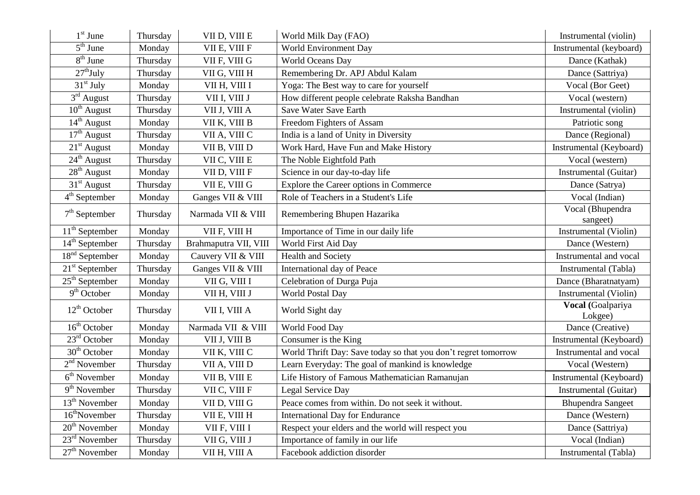| $1st$ June                        | Thursday | VII D, VIII E         | World Milk Day (FAO)                                           | Instrumental (violin)        |
|-----------------------------------|----------|-----------------------|----------------------------------------------------------------|------------------------------|
| $\overline{5}^{\text{th}}$ June   | Monday   | VII E, VIII F         | World Environment Day                                          | Instrumental (keyboard)      |
| $8th$ June                        | Thursday | VII F, VIII G         | World Oceans Day                                               | Dance (Kathak)               |
| $27th$ July                       | Thursday | VII G, VIII H         | Remembering Dr. APJ Abdul Kalam                                | Dance (Sattriya)             |
| $31st$ July                       | Monday   | VII H, VIII I         | Yoga: The Best way to care for yourself                        | Vocal (Bor Geet)             |
| $\overline{3}^{\text{rd}}$ August | Thursday | VII I, VIII J         | How different people celebrate Raksha Bandhan                  | Vocal (western)              |
| $\overline{10^{th}}$ August       | Thursday | VII J, VIII A         | Save Water Save Earth                                          | Instrumental (violin)        |
| $14th$ August                     | Monday   | VII K, VIII B         | Freedom Fighters of Assam                                      | Patriotic song               |
| $17th$ August                     | Thursday | VII A, VIII C         | India is a land of Unity in Diversity                          | Dance (Regional)             |
| $21st$ August                     | Monday   | VII B, VIII D         | Work Hard, Have Fun and Make History                           | Instrumental (Keyboard)      |
| $24th$ August                     | Thursday | VII C, VIII E         | The Noble Eightfold Path                                       | Vocal (western)              |
| $28th$ August                     | Monday   | VII D, VIII F         | Science in our day-to-day life                                 | Instrumental (Guitar)        |
| $31st$ August                     | Thursday | VII E, VIII G         | Explore the Career options in Commerce                         | Dance (Satrya)               |
| 4 <sup>th</sup> September         | Monday   | Ganges VII & VIII     | Role of Teachers in a Student's Life                           | Vocal (Indian)               |
| $7th$ September                   | Thursday | Narmada VII & VIII    | Remembering Bhupen Hazarika                                    | Vocal (Bhupendra<br>sangeet) |
| $11th$ September                  | Monday   | VII F, VIII H         | Importance of Time in our daily life                           | Instrumental (Violin)        |
| $14th$ September                  | Thursday | Brahmaputra VII, VIII | World First Aid Day                                            | Dance (Western)              |
| 18 <sup>nd</sup> September        | Monday   | Cauvery VII & VIII    | Health and Society                                             | Instrumental and vocal       |
| $21st$ September                  | Thursday | Ganges VII & VIII     | International day of Peace                                     | Instrumental (Tabla)         |
| $25th$ September                  | Monday   | VII G, VIII I         | Celebration of Durga Puja                                      | Dance (Bharatnatyam)         |
| $9th$ October                     | Monday   | VII H, VIII J         | World Postal Day                                               | Instrumental (Violin)        |
| $12^{th}$ October                 | Thursday | VII I, VIII A         | World Sight day                                                | Vocal (Goalpariya<br>Lokgee) |
| $16th$ October                    | Monday   | Narmada VII & VIII    | World Food Day                                                 | Dance (Creative)             |
| $23rd$ October                    | Monday   | VII J, VIII B         | Consumer is the King                                           | Instrumental (Keyboard)      |
| $30th$ October                    | Monday   | VII K, VIII C         | World Thrift Day: Save today so that you don't regret tomorrow | Instrumental and vocal       |
| $2nd$ November                    | Thursday | VII A, VIII D         | Learn Everyday: The goal of mankind is knowledge               | Vocal (Western)              |
| $6th$ November                    | Monday   | VII B, VIII E         | Life History of Famous Mathematician Ramanujan                 | Instrumental (Keyboard)      |
| $9th$ November                    | Thursday | VII C, VIII F         | Legal Service Day                                              | Instrumental (Guitar)        |
| $13th$ November                   | Monday   | VII D, VIII G         | Peace comes from within. Do not seek it without.               | <b>Bhupendra Sangeet</b>     |
| $16^{\text{th}}$ November         | Thursday | VII E, VIII H         | <b>International Day for Endurance</b>                         | Dance (Western)              |
| 20 <sup>th</sup> November         | Monday   | VII F, VIII I         | Respect your elders and the world will respect you             | Dance (Sattriya)             |
| $23rd$ November                   | Thursday | VII G, VIII J         | Importance of family in our life                               | Vocal (Indian)               |
| $27th$ November                   | Monday   | VII H, VIII A         | Facebook addiction disorder                                    | Instrumental (Tabla)         |